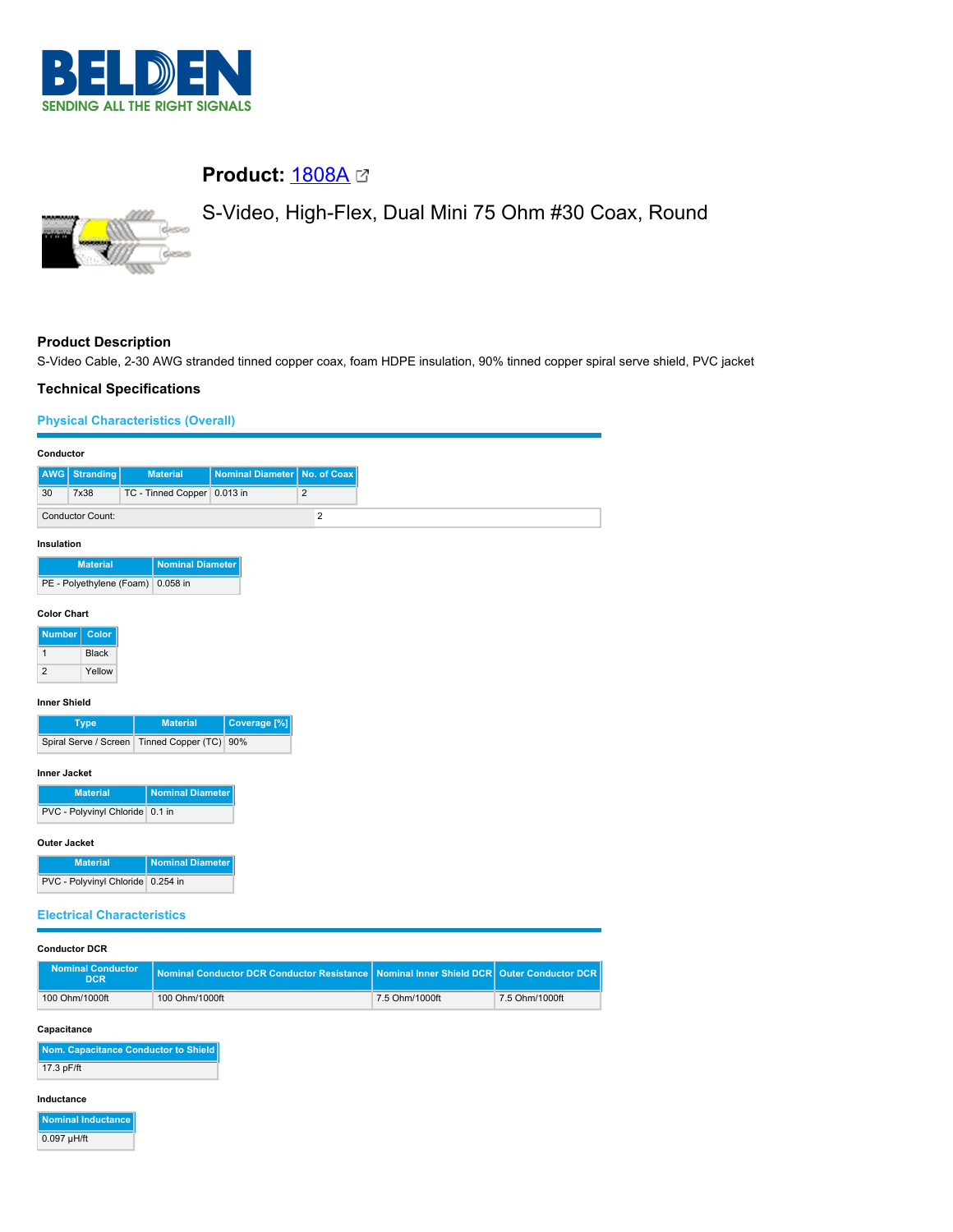

# **Product: [1808A](https://catalog.belden.com/index.cfm?event=pd&p=PF_1808A&tab=downloads)** 2

# S-Video, High-Flex, Dual Mini 75 Ohm #30 Coax, Round



## **Product Description**

S-Video Cable, 2-30 AWG stranded tinned copper coax, foam HDPE insulation, 90% tinned copper spiral serve shield, PVC jacket

#### **Technical Specifications**

#### **Physical Characteristics (Overall)**

| Conductor           |                          |                                              |                                |                |  |                                                                                             |
|---------------------|--------------------------|----------------------------------------------|--------------------------------|----------------|--|---------------------------------------------------------------------------------------------|
| AWG                 | <b>Stranding</b>         | <b>Material</b>                              | Nominal Diameter   No. of Coax |                |  |                                                                                             |
| 30                  | 7x38                     | TC - Tinned Copper 0.013 in                  |                                | 2              |  |                                                                                             |
|                     | <b>Conductor Count:</b>  |                                              |                                | $\overline{2}$ |  |                                                                                             |
| Insulation          |                          |                                              |                                |                |  |                                                                                             |
|                     | <b>Material</b>          | <b>Nominal Diameter</b>                      |                                |                |  |                                                                                             |
|                     |                          | PE - Polyethylene (Foam) 0.058 in            |                                |                |  |                                                                                             |
|                     |                          |                                              |                                |                |  |                                                                                             |
| <b>Color Chart</b>  |                          |                                              |                                |                |  |                                                                                             |
| <b>Number</b>       | Color                    |                                              |                                |                |  |                                                                                             |
| $\mathbf{1}$        | Black                    |                                              |                                |                |  |                                                                                             |
| $\overline{2}$      | Yellow                   |                                              |                                |                |  |                                                                                             |
| <b>Inner Shield</b> |                          |                                              |                                |                |  |                                                                                             |
|                     | <b>Type</b>              | <b>Material</b>                              | Coverage [%]                   |                |  |                                                                                             |
|                     |                          | Spiral Serve / Screen Tinned Copper (TC) 90% |                                |                |  |                                                                                             |
|                     |                          |                                              |                                |                |  |                                                                                             |
| <b>Inner Jacket</b> |                          |                                              |                                |                |  |                                                                                             |
|                     | <b>Material</b>          | <b>Nominal Diameter</b>                      |                                |                |  |                                                                                             |
|                     |                          | PVC - Polyvinyl Chloride 0.1 in              |                                |                |  |                                                                                             |
| <b>Outer Jacket</b> |                          |                                              |                                |                |  |                                                                                             |
|                     | <b>Material</b>          | <b>Nominal Diameter</b>                      |                                |                |  |                                                                                             |
|                     |                          | PVC - Polyvinyl Chloride 0.254 in            |                                |                |  |                                                                                             |
|                     |                          |                                              |                                |                |  |                                                                                             |
|                     |                          | <b>Electrical Characteristics</b>            |                                |                |  |                                                                                             |
|                     |                          |                                              |                                |                |  |                                                                                             |
|                     | <b>Conductor DCR</b>     |                                              |                                |                |  |                                                                                             |
|                     | <b>Nominal Conductor</b> |                                              |                                |                |  | Naminal Conductor DCB Conductor Begintance   Naminal Inner Shield DCB   Quter Conductor DCB |

| <b>Nominal Conductor</b><br><b>DCR</b> | Nominal Conductor DCR Conductor Resistance Nominal Inner Shield DCR Quter Conductor DCR |                |                |
|----------------------------------------|-----------------------------------------------------------------------------------------|----------------|----------------|
| 100 Ohm/1000ft                         | 100 Ohm/1000ft                                                                          | 7.5 Ohm/1000ft | 7.5 Ohm/1000ft |

#### **Capacitance**

| Nom. Capacitance Conductor to Shield |
|--------------------------------------|
| 17.3 pF/ft                           |

#### **Inductance**

| <b>Nominal Inductance</b> |
|---------------------------|
| $0.097$ µH/ft             |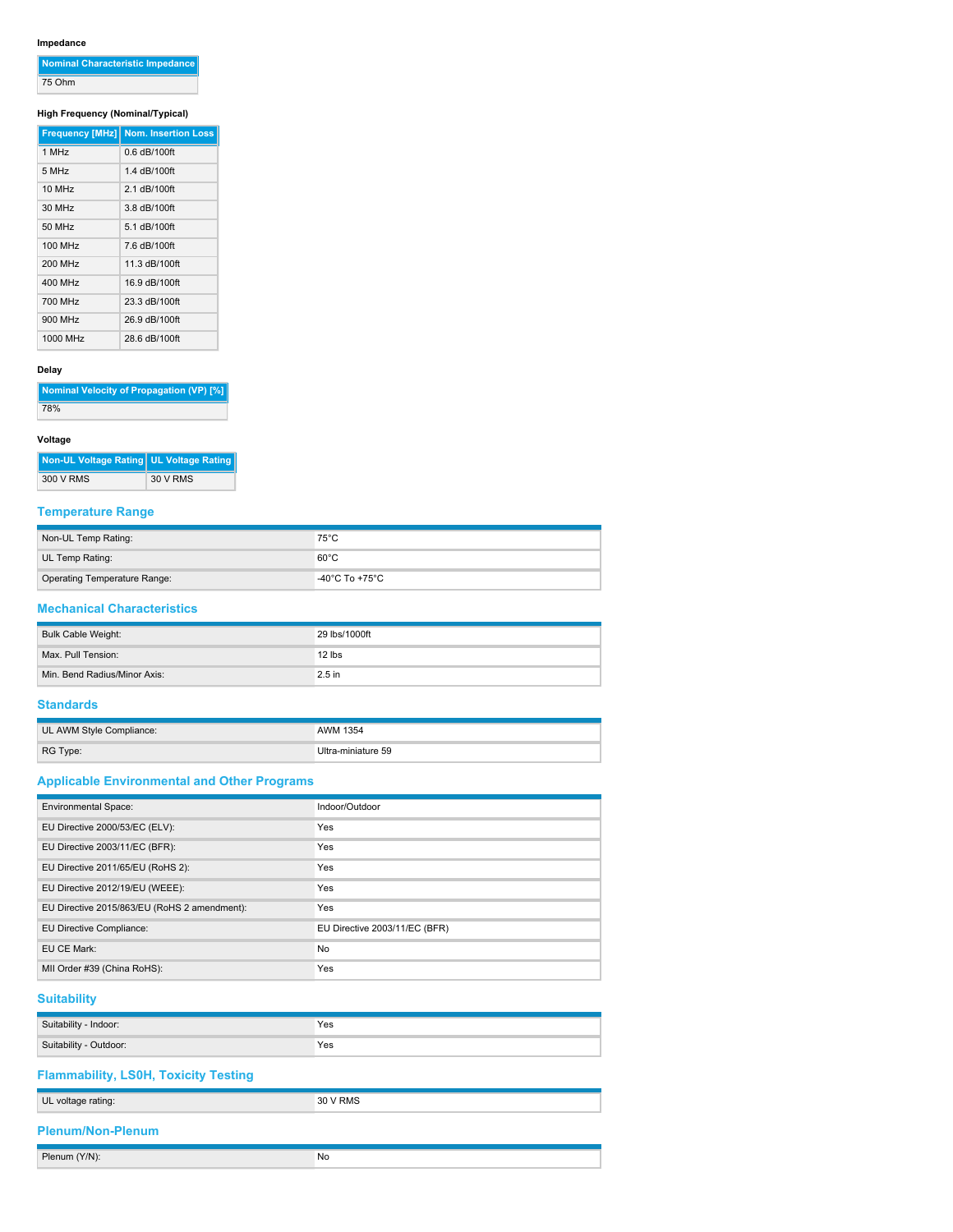### **Impedance**

|          | Nominal Characteristic Impedance |  |
|----------|----------------------------------|--|
| $75$ Ohm |                                  |  |

75 Ohm

## **High Frequency (Nominal/Typical)**

|                    | <b>Frequency [MHz] Nom. Insertion Loss</b> |
|--------------------|--------------------------------------------|
| 1 MHz              | $0.6$ dB/100ft                             |
| 5 MHz              | 1.4 dB/100ft                               |
| 10 MH <sub>z</sub> | 2.1 dB/100ft                               |
| 30 MHz             | 3.8 dB/100ft                               |
| 50 MHz             | 5.1 dB/100ft                               |
| 100 MHz            | 7.6 dB/100ft                               |
| 200 MHz            | 11.3 dB/100ft                              |
| 400 MHz            | 16.9 dB/100ft                              |
| 700 MHz            | 23.3 dB/100ft                              |
| 900 MHz            | 26.9 dB/100ft                              |
| 1000 MHz           | 28.6 dB/100ft                              |

#### **Delay**

| Nominal Velocity of Propagation (VP) [%] |
|------------------------------------------|
| 78%                                      |

#### **Voltage**

| Non-UL Voltage Rating UL Voltage Rating |          |
|-----------------------------------------|----------|
| 300 V RMS                               | 30 V RMS |

## **Temperature Range**

| Non-UL Temp Rating:          | $75^{\circ}$ C |
|------------------------------|----------------|
| UL Temp Rating:              | $60^{\circ}$ C |
| Operating Temperature Range: | -40°C To +75°C |

#### **Mechanical Characteristics**

| Bulk Cable Weight:           | 29 lbs/1000ft |
|------------------------------|---------------|
| Max. Pull Tension:           | 12 lbs        |
| Min. Bend Radius/Minor Axis: | $2.5$ in      |

## **Standards**

| UL AWM Style Compliance: | AWM 1354           |
|--------------------------|--------------------|
| RG Type:                 | Ultra-miniature 59 |

### **Applicable Environmental and Other Programs**

| <b>Environmental Space:</b>                  | Indoor/Outdoor                |
|----------------------------------------------|-------------------------------|
| EU Directive 2000/53/EC (ELV):               | Yes                           |
| EU Directive 2003/11/EC (BFR):               | Yes                           |
| EU Directive 2011/65/EU (RoHS 2):            | <b>Yes</b>                    |
| EU Directive 2012/19/EU (WEEE):              | Yes                           |
| EU Directive 2015/863/EU (RoHS 2 amendment): | <b>Yes</b>                    |
| EU Directive Compliance:                     | EU Directive 2003/11/EC (BFR) |
| EU CE Mark:                                  | <b>No</b>                     |
| MII Order #39 (China RoHS):                  | Yes                           |

## **Suitability**

| Suitability - Indoor:  | Yes |
|------------------------|-----|
| Suitability - Outdoor: | Yes |

# **Flammability, LS0H, Toxicity Testing**

| UL voltage rating:       | 30 V RMS |
|--------------------------|----------|
| <b>Plenum/Non-Plenum</b> |          |
| Plenum (Y/N):            | No       |